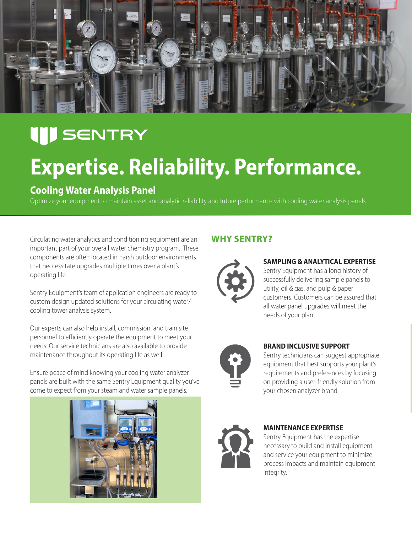

### **III** SENTRY

## **Expertise. Reliability. Performance.**

### **Cooling Water Analysis Panel**

Optimize your equipment to maintain asset and analytic reliability and future performance with cooling water analysis panels

Circulating water analytics and conditioning equipment are an **WHY SENTRY?** important part of your overall water chemistry program. These components are often located in harsh outdoor environments that neccessitate upgrades multiple times over a plant's operating life.

Sentry Equipment's team of application engineers are ready to custom design updated solutions for your circulating water/ cooling tower analysis system.

Our experts can also help install, commission, and train site personnel to efficiently operate the equipment to meet your needs. Our service technicians are also available to provide maintenance throughout its operating life as well.

Ensure peace of mind knowing your cooling water analyzer panels are built with the same Sentry Equipment quality you've come to expect from your steam and water sample panels.





#### **SAMPLING & ANALYTICAL EXPERTISE**

Sentry Equipment has a long history of successfully delivering sample panels to utility, oil & gas, and pulp & paper customers. Customers can be assured that all water panel upgrades will meet the needs of your plant.

#### **BRAND INCLUSIVE SUPPORT**

Sentry technicians can suggest appropriate equipment that best supports your plant's requirements and preferences by focusing on providing a user-friendly solution from your chosen analyzer brand.



#### **MAINTENANCE EXPERTISE**

Sentry Equipment has the expertise necessary to build and install equipment and service your equipment to minimize process impacts and maintain equipment integrity.